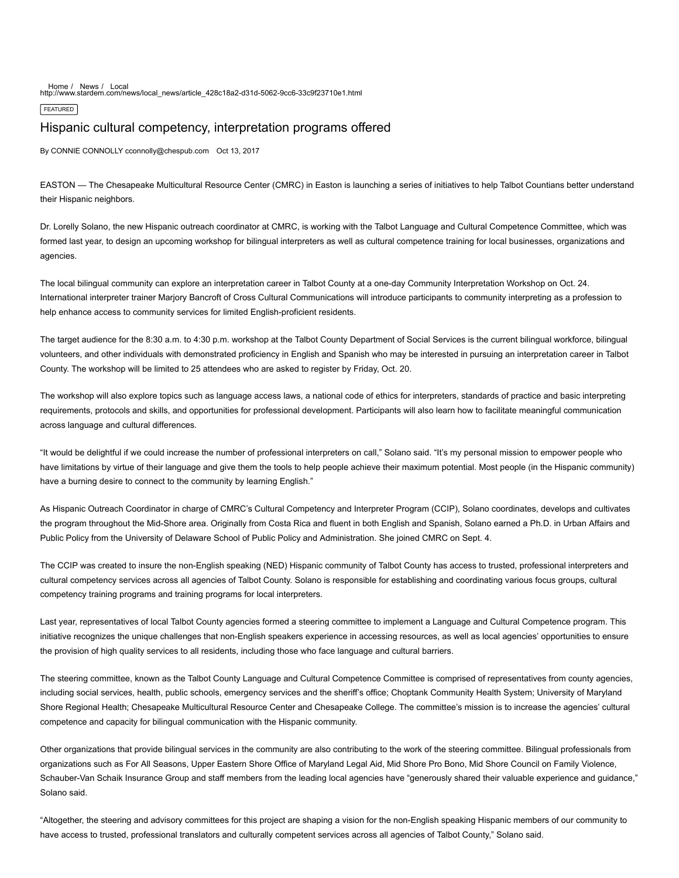[Home](http://www.stardem.com/) / [News](http://www.stardem.com/news/) / [Local](http://www.stardem.com/news/local_news/) http://www.stardem.com/news/local\_news/article\_428c18a2-d31d-5062-9cc6-33c9f23710e1.html

**FEATURED** 

## Hispanic cultural competency, interpretation programs offered

By CONNIE CONNOLLY cconnolly@chespub.com Oct 13, 2017

EASTON — The Chesapeake Multicultural Resource Center (CMRC) in Easton is launching a series of initiatives to help Talbot Countians better understand their Hispanic neighbors.

Dr. Lorelly Solano, the new Hispanic outreach coordinator at CMRC, is working with the Talbot Language and Cultural Competence Committee, which was formed last year, to design an upcoming workshop for bilingual interpreters as well as cultural competence training for local businesses, organizations and agencies.

The local bilingual community can explore an interpretation career in Talbot County at a one-day Community Interpretation Workshop on Oct. 24. International interpreter trainer Marjory Bancroft of Cross Cultural Communications will introduce participants to community interpreting as a profession to help enhance access to community services for limited English-proficient residents.

The target audience for the 8:30 a.m. to 4:30 p.m. workshop at the Talbot County Department of Social Services is the current bilingual workforce, bilingual volunteers, and other individuals with demonstrated proficiency in English and Spanish who may be interested in pursuing an interpretation career in Talbot County. The workshop will be limited to 25 attendees who are asked to register by Friday, Oct. 20.

The workshop will also explore topics such as language access laws, a national code of ethics for interpreters, standards of practice and basic interpreting requirements, protocols and skills, and opportunities for professional development. Participants will also learn how to facilitate meaningful communication across language and cultural differences.

"It would be delightful if we could increase the number of professional interpreters on call," Solano said. "It's my personal mission to empower people who have limitations by virtue of their language and give them the tools to help people achieve their maximum potential. Most people (in the Hispanic community) have a burning desire to connect to the community by learning English."

As Hispanic Outreach Coordinator in charge of CMRC's Cultural Competency and Interpreter Program (CCIP), Solano coordinates, develops and cultivates the program throughout the Mid-Shore area. Originally from Costa Rica and fluent in both English and Spanish, Solano earned a Ph.D. in Urban Affairs and Public Policy from the University of Delaware School of Public Policy and Administration. She joined CMRC on Sept. 4.

The CCIP was created to insure the non-English speaking (NED) Hispanic community of Talbot County has access to trusted, professional interpreters and cultural competency services across all agencies of Talbot County. Solano is responsible for establishing and coordinating various focus groups, cultural competency training programs and training programs for local interpreters.

Last year, representatives of local Talbot County agencies formed a steering committee to implement a Language and Cultural Competence program. This initiative recognizes the unique challenges that non-English speakers experience in accessing resources, as well as local agencies' opportunities to ensure the provision of high quality services to all residents, including those who face language and cultural barriers.

The steering committee, known as the Talbot County Language and Cultural Competence Committee is comprised of representatives from county agencies, including social services, health, public schools, emergency services and the sheriff's office; Choptank Community Health System; University of Maryland Shore Regional Health; Chesapeake Multicultural Resource Center and Chesapeake College. The committee's mission is to increase the agencies' cultural competence and capacity for bilingual communication with the Hispanic community.

Other organizations that provide bilingual services in the community are also contributing to the work of the steering committee. Bilingual professionals from organizations such as For All Seasons, Upper Eastern Shore Office of Maryland Legal Aid, Mid Shore Pro Bono, Mid Shore Council on Family Violence, Schauber-Van Schaik Insurance Group and staff members from the leading local agencies have "generously shared their valuable experience and guidance," Solano said.

"Altogether, the steering and advisory committees for this project are shaping a vision for the non-English speaking Hispanic members of our community to have access to trusted, professional translators and culturally competent services across all agencies of Talbot County," Solano said.